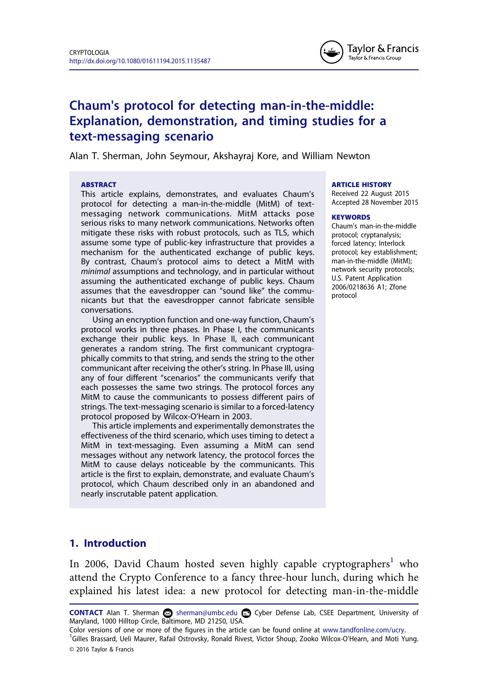

# **Chaum's protocol for detecting man-in-the-middle: Explanation, demonstration, and timing studies for a text-messaging scenario**

Alan T. Sherman, John Seymour, Akshayraj Kore, and William Newton

#### **ABSTRACT**

This article explains, demonstrates, and evaluates Chaum's protocol for detecting a man-in-the-middle (MitM) of textmessaging network communications. MitM attacks pose serious risks to many network communications. Networks often mitigate these risks with robust protocols, such as TLS, which assume some type of public-key infrastructure that provides a mechanism for the authenticated exchange of public keys. By contrast, Chaum's protocol aims to detect a MitM with *minimal* assumptions and technology, and in particular without assuming the authenticated exchange of public keys. Chaum assumes that the eavesdropper can "sound like" the communicants but that the eavesdropper cannot fabricate sensible conversations.

Using an encryption function and one-way function, Chaum's protocol works in three phases. In Phase I, the communicants exchange their public keys. In Phase II, each communicant generates a random string. The first communicant cryptographically commits to that string, and sends the string to the other communicant after receiving the other's string. In Phase III, using any of four different "scenarios" the communicants verify that each possesses the same two strings. The protocol forces any MitM to cause the communicants to possess different pairs of strings. The text-messaging scenario is similar to a forced-latency protocol proposed by Wilcox-O'Hearn in 2003.

This article implements and experimentally demonstrates the effectiveness of the third scenario, which uses timing to detect a MitM in text-messaging. Even assuming a MitM can send messages without any network latency, the protocol forces the MitM to cause delays noticeable by the communicants. This article is the first to explain, demonstrate, and evaluate Chaum's protocol, which Chaum described only in an abandoned and nearly inscrutable patent application.

#### **ARTICLE HISTORY**

Received 22 August 2015 Accepted 28 November 2015

#### **KEYWORDS**

Chaum's man-in-the-middle protocol; cryptanalysis; forced latency; Interlock protocol; key establishment; man-in-the-middle (MitM); network security protocols; U.S. Patent Application 2006/0218636 A1; Zfone protocol

### **1. Introduction**

In 2006, David Chaum hosted seven highly capable cryptographers<sup>1</sup> who attend the Crypto Conference to a fancy three-hour lunch, during which he explained his latest idea: a new protocol for detecting man-in-the-middle

Color versions of one or more of the figures in the article can be found online at [www.tandfonline.com/ucry.](http://www.tandfonline.com/ucry) 1

**CONTACT** Alan T. Sherman a [sherman@umbc.edu](mailto:sherman@umbc.edu) coll Cyber Defense Lab, CSEE Department, University of Maryland, 1000 Hilltop Circle, Baltimore, MD 21250, USA.

Gilles Brassard, Ueli Maurer, Rafail Ostrovsky, Ronald Rivest, Victor Shoup, Zooko Wilcox-O'Hearn, and Moti Yung. © 2016 Taylor & Francis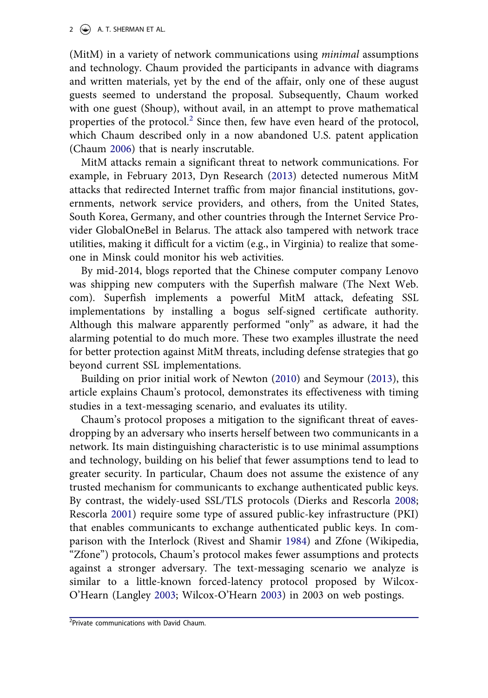(MitM) in a variety of network communications using *minimal* assumptions and technology. Chaum provided the participants in advance with diagrams and written materials, yet by the end of the affair, only one of these august guests seemed to understand the proposal. Subsequently, Chaum worked with one guest (Shoup), without avail, in an attempt to prove mathematical properties of the protocol.<sup>2</sup> Since then, few have even heard of the protocol, which Chaum described only in a now abandoned U.S. patent application (Chaum [2006\)](#page-24-0) that is nearly inscrutable.

MitM attacks remain a significant threat to network communications. For example, in February 2013, Dyn Research [\(2013](#page-24-0)) detected numerous MitM attacks that redirected Internet traffic from major financial institutions, governments, network service providers, and others, from the United States, South Korea, Germany, and other countries through the Internet Service Provider GlobalOneBel in Belarus. The attack also tampered with network trace utilities, making it difficult for a victim (e.g., in Virginia) to realize that someone in Minsk could monitor his web activities.

By mid-2014, blogs reported that the Chinese computer company Lenovo was shipping new computers with the Superfish malware (The Next Web. com). Superfish implements a powerful MitM attack, defeating SSL implementations by installing a bogus self-signed certificate authority. Although this malware apparently performed "only" as adware, it had the alarming potential to do much more. These two examples illustrate the need for better protection against MitM threats, including defense strategies that go beyond current SSL implementations.

Building on prior initial work of Newton [\(2010](#page-25-0)) and Seymour [\(2013](#page-25-0)), this article explains Chaum's protocol, demonstrates its effectiveness with timing studies in a text-messaging scenario, and evaluates its utility.

Chaum's protocol proposes a mitigation to the significant threat of eavesdropping by an adversary who inserts herself between two communicants in a network. Its main distinguishing characteristic is to use minimal assumptions and technology, building on his belief that fewer assumptions tend to lead to greater security. In particular, Chaum does not assume the existence of any trusted mechanism for communicants to exchange authenticated public keys. By contrast, the widely-used SSL/TLS protocols (Dierks and Rescorla [2008;](#page-24-0) Rescorla [2001\)](#page-25-0) require some type of assured public-key infrastructure (PKI) that enables communicants to exchange authenticated public keys. In comparison with the Interlock (Rivest and Shamir [1984\)](#page-25-0) and Zfone (Wikipedia, "Zfone") protocols, Chaum's protocol makes fewer assumptions and protects against a stronger adversary. The text-messaging scenario we analyze is similar to a little-known forced-latency protocol proposed by Wilcox-O'Hearn (Langley [2003](#page-25-0); Wilcox-O'Hearn [2003](#page-25-0)) in 2003 on web postings.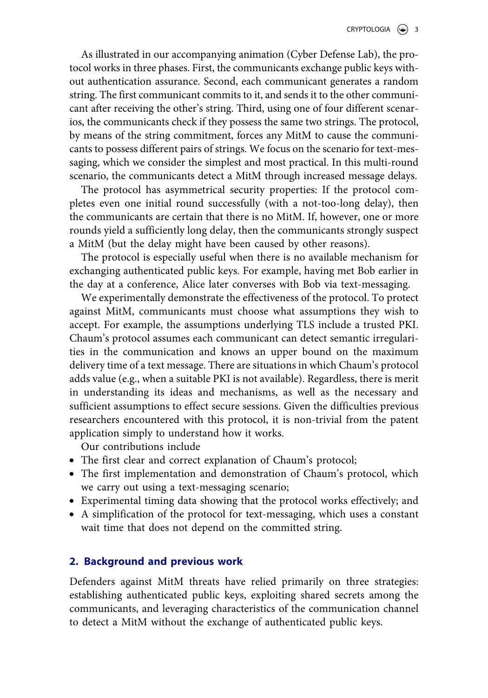As illustrated in our accompanying animation (Cyber Defense Lab), the protocol works in three phases. First, the communicants exchange public keys without authentication assurance. Second, each communicant generates a random string. The first communicant commits to it, and sends it to the other communicant after receiving the other's string. Third, using one of four different scenarios, the communicants check if they possess the same two strings. The protocol, by means of the string commitment, forces any MitM to cause the communicants to possess different pairs of strings. We focus on the scenario for text-messaging, which we consider the simplest and most practical. In this multi-round scenario, the communicants detect a MitM through increased message delays.

The protocol has asymmetrical security properties: If the protocol completes even one initial round successfully (with a not-too-long delay), then the communicants are certain that there is no MitM. If, however, one or more rounds yield a sufficiently long delay, then the communicants strongly suspect a MitM (but the delay might have been caused by other reasons).

The protocol is especially useful when there is no available mechanism for exchanging authenticated public keys. For example, having met Bob earlier in the day at a conference, Alice later converses with Bob via text-messaging.

We experimentally demonstrate the effectiveness of the protocol. To protect against MitM, communicants must choose what assumptions they wish to accept. For example, the assumptions underlying TLS include a trusted PKI. Chaum's protocol assumes each communicant can detect semantic irregularities in the communication and knows an upper bound on the maximum delivery time of a text message. There are situations in which Chaum's protocol adds value (e.g., when a suitable PKI is not available). Regardless, there is merit in understanding its ideas and mechanisms, as well as the necessary and sufficient assumptions to effect secure sessions. Given the difficulties previous researchers encountered with this protocol, it is non-trivial from the patent application simply to understand how it works.

Our contributions include

- . The first clear and correct explanation of Chaum's protocol;
- . The first implementation and demonstration of Chaum's protocol, which we carry out using a text-messaging scenario;
- . Experimental timing data showing that the protocol works effectively; and
- . A simplification of the protocol for text-messaging, which uses a constant wait time that does not depend on the committed string.

### **2. Background and previous work**

Defenders against MitM threats have relied primarily on three strategies: establishing authenticated public keys, exploiting shared secrets among the communicants, and leveraging characteristics of the communication channel to detect a MitM without the exchange of authenticated public keys.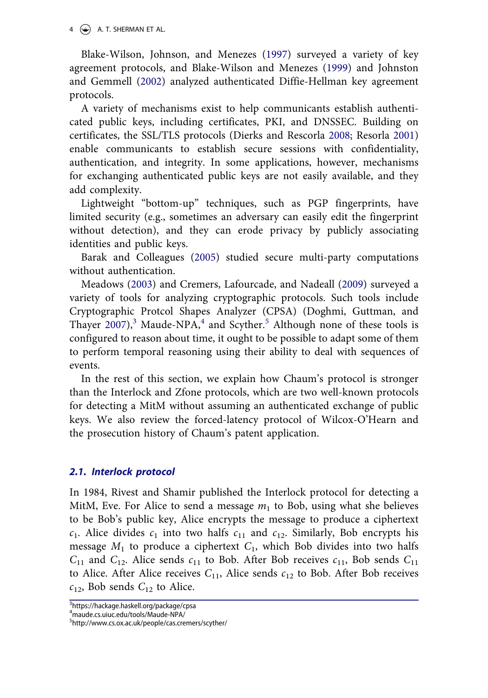4  $\left(\bigstar\right)$  A. T. SHERMAN ET AL.

Blake-Wilson, Johnson, and Menezes ([1997\)](#page-24-0) surveyed a variety of key agreement protocols, and Blake-Wilson and Menezes [\(1999](#page-24-0)) and Johnston and Gemmell [\(2002](#page-25-0)) analyzed authenticated Diffie-Hellman key agreement protocols.

A variety of mechanisms exist to help communicants establish authenticated public keys, including certificates, PKI, and DNSSEC. Building on certificates, the SSL/TLS protocols (Dierks and Rescorla [2008;](#page-24-0) Resorla [2001](#page-25-0)) enable communicants to establish secure sessions with confidentiality, authentication, and integrity. In some applications, however, mechanisms for exchanging authenticated public keys are not easily available, and they add complexity.

Lightweight "bottom-up" techniques, such as PGP fingerprints, have limited security (e.g., sometimes an adversary can easily edit the fingerprint without detection), and they can erode privacy by publicly associating identities and public keys.

Barak and Colleagues ([2005\)](#page-24-0) studied secure multi-party computations without authentication.

Meadows [\(2003](#page-25-0)) and Cremers, Lafourcade, and Nadeall [\(2009](#page-24-0)) surveyed a variety of tools for analyzing cryptographic protocols. Such tools include Cryptographic Protcol Shapes Analyzer (CPSA) (Doghmi, Guttman, and Thayer [2007](#page-24-0)), $3$  Maude-NPA, $4$  and Scyther.<sup>5</sup> Although none of these tools is configured to reason about time, it ought to be possible to adapt some of them to perform temporal reasoning using their ability to deal with sequences of events.

In the rest of this section, we explain how Chaum's protocol is stronger than the Interlock and Zfone protocols, which are two well-known protocols for detecting a MitM without assuming an authenticated exchange of public keys. We also review the forced-latency protocol of Wilcox-O'Hearn and the prosecution history of Chaum's patent application.

#### *2.1. Interlock protocol*

In 1984, Rivest and Shamir published the Interlock protocol for detecting a MitM, Eve. For Alice to send a message  $m_1$  to Bob, using what she believes to be Bob's public key, Alice encrypts the message to produce a ciphertext  $c_1$ . Alice divides  $c_1$  into two halfs  $c_{11}$  and  $c_{12}$ . Similarly, Bob encrypts his message  $M_1$  to produce a ciphertext  $C_1$ , which Bob divides into two halfs  $C_{11}$  and  $C_{12}$ . Alice sends  $c_{11}$  to Bob. After Bob receives  $c_{11}$ , Bob sends  $C_{11}$ to Alice. After Alice receives  $C_{11}$ , Alice sends  $c_{12}$  to Bob. After Bob receives  $c_{12}$ , Bob sends  $C_{12}$  to Alice.

<sup>3</sup> https://hackage.haskell.org/package/cpsa

<sup>4</sup> maude.cs.uiuc.edu/tools/Maude-NPA/

<sup>5</sup> http://www.cs.ox.ac.uk/people/cas.cremers/scyther/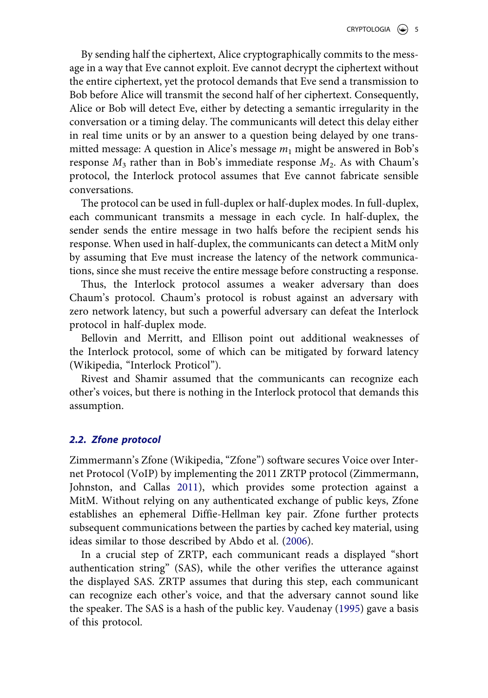By sending half the ciphertext, Alice cryptographically commits to the message in a way that Eve cannot exploit. Eve cannot decrypt the ciphertext without the entire ciphertext, yet the protocol demands that Eve send a transmission to Bob before Alice will transmit the second half of her ciphertext. Consequently, Alice or Bob will detect Eve, either by detecting a semantic irregularity in the conversation or a timing delay. The communicants will detect this delay either in real time units or by an answer to a question being delayed by one transmitted message: A question in Alice's message  $m_1$  might be answered in Bob's response  $M_3$  rather than in Bob's immediate response  $M_2$ . As with Chaum's protocol, the Interlock protocol assumes that Eve cannot fabricate sensible conversations.

The protocol can be used in full-duplex or half-duplex modes. In full-duplex, each communicant transmits a message in each cycle. In half-duplex, the sender sends the entire message in two halfs before the recipient sends his response. When used in half-duplex, the communicants can detect a MitM only by assuming that Eve must increase the latency of the network communications, since she must receive the entire message before constructing a response.

Thus, the Interlock protocol assumes a weaker adversary than does Chaum's protocol. Chaum's protocol is robust against an adversary with zero network latency, but such a powerful adversary can defeat the Interlock protocol in half-duplex mode.

Bellovin and Merritt, and Ellison point out additional weaknesses of the Interlock protocol, some of which can be mitigated by forward latency (Wikipedia, "Interlock Proticol").

Rivest and Shamir assumed that the communicants can recognize each other's voices, but there is nothing in the Interlock protocol that demands this assumption.

### *2.2. Zfone protocol*

Zimmermann's Zfone (Wikipedia, "Zfone") software secures Voice over Internet Protocol (VoIP) by implementing the 2011 ZRTP protocol (Zimmermann, Johnston, and Callas [2011\)](#page-25-0), which provides some protection against a MitM. Without relying on any authenticated exchange of public keys, Zfone establishes an ephemeral Diffie-Hellman key pair. Zfone further protects subsequent communications between the parties by cached key material, using ideas similar to those described by Abdo et al. [\(2006](#page-24-0)).

In a crucial step of ZRTP, each communicant reads a displayed "short authentication string" (SAS), while the other verifies the utterance against the displayed SAS. ZRTP assumes that during this step, each communicant can recognize each other's voice, and that the adversary cannot sound like the speaker. The SAS is a hash of the public key. Vaudenay ([1995\)](#page-25-0) gave a basis of this protocol.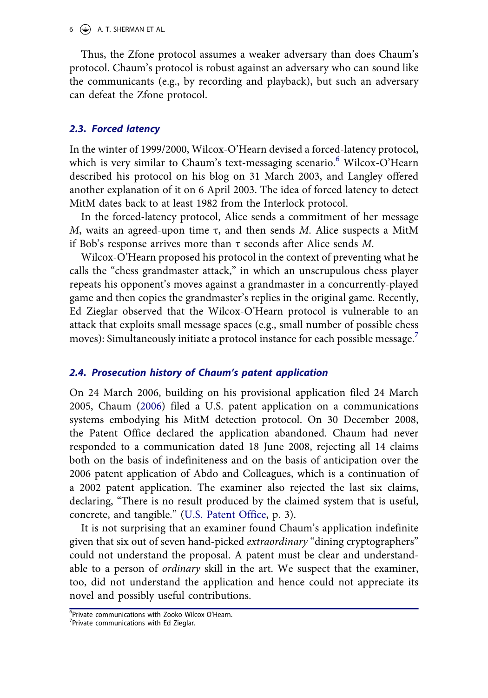6  $\leftrightarrow$  A. T. SHERMAN ET AL.

Thus, the Zfone protocol assumes a weaker adversary than does Chaum's protocol. Chaum's protocol is robust against an adversary who can sound like the communicants (e.g., by recording and playback), but such an adversary can defeat the Zfone protocol.

#### *2.3. Forced latency*

In the winter of 1999/2000, Wilcox-O'Hearn devised a forced-latency protocol, which is very similar to Chaum's text-messaging scenario.<sup>6</sup> Wilcox-O'Hearn described his protocol on his blog on 31 March 2003, and Langley offered another explanation of it on 6 April 2003. The idea of forced latency to detect MitM dates back to at least 1982 from the Interlock protocol.

In the forced-latency protocol, Alice sends a commitment of her message *M*, waits an agreed-upon time τ, and then sends *M*. Alice suspects a MitM if Bob's response arrives more than τ seconds after Alice sends *M*.

Wilcox-O'Hearn proposed his protocol in the context of preventing what he calls the "chess grandmaster attack," in which an unscrupulous chess player repeats his opponent's moves against a grandmaster in a concurrently-played game and then copies the grandmaster's replies in the original game. Recently, Ed Zieglar observed that the Wilcox-O'Hearn protocol is vulnerable to an attack that exploits small message spaces (e.g., small number of possible chess moves): Simultaneously initiate a protocol instance for each possible message.<sup>7</sup>

### *2.4. Prosecution history of Chaum's patent application*

On 24 March 2006, building on his provisional application filed 24 March 2005, Chaum ([2006\)](#page-24-0) filed a U.S. patent application on a communications systems embodying his MitM detection protocol. On 30 December 2008, the Patent Office declared the application abandoned. Chaum had never responded to a communication dated 18 June 2008, rejecting all 14 claims both on the basis of indefiniteness and on the basis of anticipation over the 2006 patent application of Abdo and Colleagues, which is a continuation of a 2002 patent application. The examiner also rejected the last six claims, declaring, "There is no result produced by the claimed system that is useful, concrete, and tangible." [\(U.S. Patent Office,](#page-25-0) p. 3).

It is not surprising that an examiner found Chaum's application indefinite given that six out of seven hand-picked *extraordinary* "dining cryptographers" could not understand the proposal. A patent must be clear and understandable to a person of *ordinary* skill in the art. We suspect that the examiner, too, did not understand the application and hence could not appreciate its novel and possibly useful contributions.

<sup>6</sup> Private communications with Zooko Wilcox-O'Hearn.

<sup>&</sup>lt;sup>7</sup>Private communications with Ed Zieglar.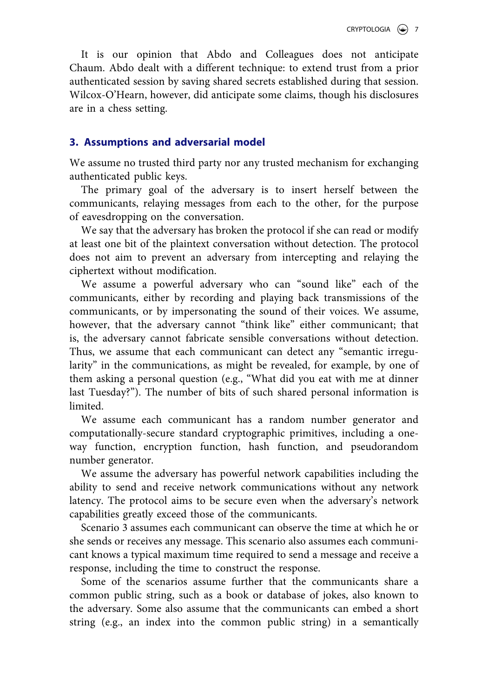It is our opinion that Abdo and Colleagues does not anticipate Chaum. Abdo dealt with a different technique: to extend trust from a prior authenticated session by saving shared secrets established during that session. Wilcox-O'Hearn, however, did anticipate some claims, though his disclosures are in a chess setting.

## **3. Assumptions and adversarial model**

We assume no trusted third party nor any trusted mechanism for exchanging authenticated public keys.

The primary goal of the adversary is to insert herself between the communicants, relaying messages from each to the other, for the purpose of eavesdropping on the conversation.

We say that the adversary has broken the protocol if she can read or modify at least one bit of the plaintext conversation without detection. The protocol does not aim to prevent an adversary from intercepting and relaying the ciphertext without modification.

We assume a powerful adversary who can "sound like" each of the communicants, either by recording and playing back transmissions of the communicants, or by impersonating the sound of their voices. We assume, however, that the adversary cannot "think like" either communicant; that is, the adversary cannot fabricate sensible conversations without detection. Thus, we assume that each communicant can detect any "semantic irregularity" in the communications, as might be revealed, for example, by one of them asking a personal question (e.g., "What did you eat with me at dinner last Tuesday?"). The number of bits of such shared personal information is limited.

We assume each communicant has a random number generator and computationally-secure standard cryptographic primitives, including a oneway function, encryption function, hash function, and pseudorandom number generator.

We assume the adversary has powerful network capabilities including the ability to send and receive network communications without any network latency. The protocol aims to be secure even when the adversary's network capabilities greatly exceed those of the communicants.

Scenario 3 assumes each communicant can observe the time at which he or she sends or receives any message. This scenario also assumes each communicant knows a typical maximum time required to send a message and receive a response, including the time to construct the response.

Some of the scenarios assume further that the communicants share a common public string, such as a book or database of jokes, also known to the adversary. Some also assume that the communicants can embed a short string (e.g., an index into the common public string) in a semantically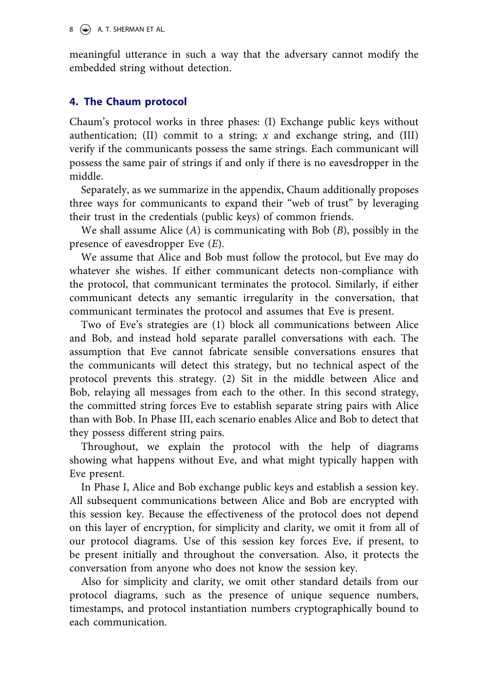8  $\leftrightarrow$  A. T. SHERMAN ET AL.

meaningful utterance in such a way that the adversary cannot modify the embedded string without detection.

## **4. The Chaum protocol**

Chaum's protocol works in three phases: (I) Exchange public keys without authentication; (II) commit to a string; *x* and exchange string, and (III) verify if the communicants possess the same strings. Each communicant will possess the same pair of strings if and only if there is no eavesdropper in the middle.

Separately, as we summarize in the appendix, Chaum additionally proposes three ways for communicants to expand their "web of trust" by leveraging their trust in the credentials (public keys) of common friends.

We shall assume Alice (*A*) is communicating with Bob (*B*), possibly in the presence of eavesdropper Eve (*E*).

We assume that Alice and Bob must follow the protocol, but Eve may do whatever she wishes. If either communicant detects non-compliance with the protocol, that communicant terminates the protocol. Similarly, if either communicant detects any semantic irregularity in the conversation, that communicant terminates the protocol and assumes that Eve is present.

Two of Eve's strategies are (1) block all communications between Alice and Bob, and instead hold separate parallel conversations with each. The assumption that Eve cannot fabricate sensible conversations ensures that the communicants will detect this strategy, but no technical aspect of the protocol prevents this strategy. (2) Sit in the middle between Alice and Bob, relaying all messages from each to the other. In this second strategy, the committed string forces Eve to establish separate string pairs with Alice than with Bob. In Phase III, each scenario enables Alice and Bob to detect that they possess different string pairs.

Throughout, we explain the protocol with the help of diagrams showing what happens without Eve, and what might typically happen with Eve present.

In Phase I, Alice and Bob exchange public keys and establish a session key. All subsequent communications between Alice and Bob are encrypted with this session key. Because the effectiveness of the protocol does not depend on this layer of encryption, for simplicity and clarity, we omit it from all of our protocol diagrams. Use of this session key forces Eve, if present, to be present initially and throughout the conversation. Also, it protects the conversation from anyone who does not know the session key.

Also for simplicity and clarity, we omit other standard details from our protocol diagrams, such as the presence of unique sequence numbers, timestamps, and protocol instantiation numbers cryptographically bound to each communication.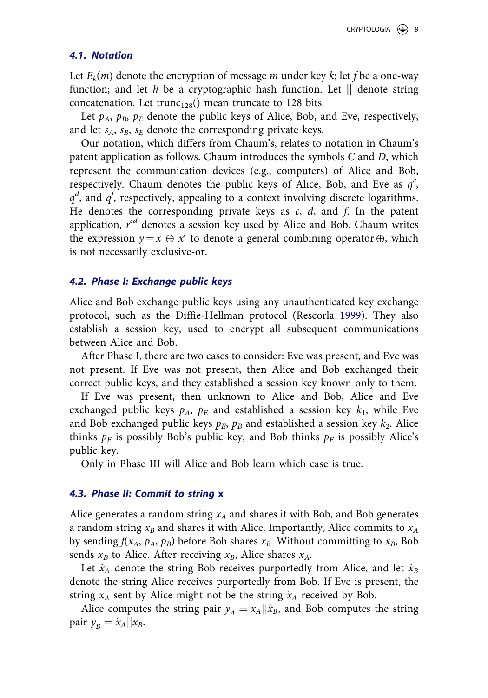### *4.1. Notation*

Let  $E_k(m)$  denote the encryption of message *m* under key *k*; let *f* be a one-way function; and let *h* be a cryptographic hash function. Let || denote string concatenation. Let trunc<sub>128</sub>() mean truncate to 128 bits.

Let  $p_A$ ,  $p_B$ ,  $p_E$  denote the public keys of Alice, Bob, and Eve, respectively, and let  $s_A$ ,  $s_B$ ,  $s_E$  denote the corresponding private keys.

Our notation, which differs from Chaum's, relates to notation in Chaum's patent application as follows. Chaum introduces the symbols *C* and *D*, which represent the communication devices (e.g., computers) of Alice and Bob, respectively. Chaum denotes the public keys of Alice, Bob, and Eve as *q<sup>c</sup>* ,  $q^d$ , and  $q^f$ , respectively, appealing to a context involving discrete logarithms. He denotes the corresponding private keys as *c*, *d*, and *f*. In the patent application, *r cd* denotes a session key used by Alice and Bob. Chaum writes the expression  $y = x \oplus x'$  to denote a general combining operator  $\oplus$ , which is not necessarily exclusive-or.

### *4.2. Phase I: Exchange public keys*

Alice and Bob exchange public keys using any unauthenticated key exchange protocol, such as the Diffie-Hellman protocol (Rescorla [1999\)](#page-25-0). They also establish a session key, used to encrypt all subsequent communications between Alice and Bob.

After Phase I, there are two cases to consider: Eve was present, and Eve was not present. If Eve was not present, then Alice and Bob exchanged their correct public keys, and they established a session key known only to them.

If Eve was present, then unknown to Alice and Bob, Alice and Eve exchanged public keys  $p_A$ ,  $p_E$  and established a session key  $k_1$ , while Eve and Bob exchanged public keys  $p_E$ ,  $p_B$  and established a session key  $k_2$ . Alice thinks  $p_E$  is possibly Bob's public key, and Bob thinks  $p_E$  is possibly Alice's public key.

Only in Phase III will Alice and Bob learn which case is true.

#### *4.3. Phase II: Commit to string* **x**

Alice generates a random string  $x_A$  and shares it with Bob, and Bob generates a random string  $x_B$  and shares it with Alice. Importantly, Alice commits to  $x_A$ by sending  $f(x_A, p_A, p_B)$  before Bob shares  $x_B$ . Without committing to  $x_B$ , Bob sends  $x_B$  to Alice. After receiving  $x_B$ , Alice shares  $x_A$ .

Let  $\hat{x}_A$  denote the string Bob receives purportedly from Alice, and let  $\hat{x}_B$ denote the string Alice receives purportedly from Bob. If Eve is present, the string  $x_A$  sent by Alice might not be the string  $\hat{x}_A$  received by Bob.

Alice computes the string pair  $y_A = x_A || \hat{x}_B$ , and Bob computes the string pair  $y_B = \hat{x}_A || x_B$ .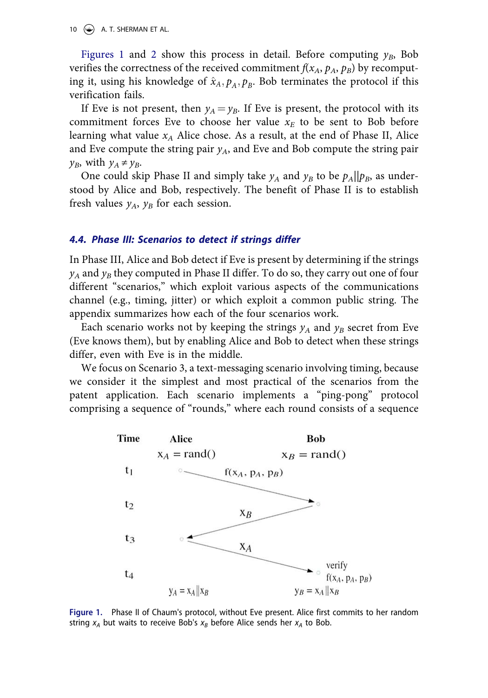10  $\left(\rightarrow\right)$  A. T. SHERMAN ET AL.

Figures 1 and [2](#page-10-0) show this process in detail. Before computing  $y_B$ , Bob verifies the correctness of the received commitment  $f(x_A, p_A, p_B)$  by recomputing it, using his knowledge of  $\hat{x}_A$ ,  $p_A$ ,  $p_B$ . Bob terminates the protocol if this verification fails.

If Eve is not present, then  $y_A = y_B$ . If Eve is present, the protocol with its commitment forces Eve to choose her value  $x_E$  to be sent to Bob before learning what value  $x_A$  Alice chose. As a result, at the end of Phase II, Alice and Eve compute the string pair  $y_A$ , and Eve and Bob compute the string pair *y<sub>B</sub>*, with  $y_A \neq y_B$ .

One could skip Phase II and simply take  $y_A$  and  $y_B$  to be  $p_A || p_B$ , as understood by Alice and Bob, respectively. The benefit of Phase II is to establish fresh values  $y_A$ ,  $y_B$  for each session.

#### *4.4. Phase III: Scenarios to detect if strings differ*

In Phase III, Alice and Bob detect if Eve is present by determining if the strings  $y_A$  and  $y_B$  they computed in Phase II differ. To do so, they carry out one of four different "scenarios," which exploit various aspects of the communications channel (e.g., timing, jitter) or which exploit a common public string. The appendix summarizes how each of the four scenarios work.

Each scenario works not by keeping the strings  $y_A$  and  $y_B$  secret from Eve (Eve knows them), but by enabling Alice and Bob to detect when these strings differ, even with Eve is in the middle.

We focus on Scenario 3, a text-messaging scenario involving timing, because we consider it the simplest and most practical of the scenarios from the patent application. Each scenario implements a "ping-pong" protocol comprising a sequence of "rounds," where each round consists of a sequence



**Figure 1.** Phase II of Chaum's protocol, without Eve present. Alice first commits to her random string  $x_A$  but waits to receive Bob's  $x_B$  before Alice sends her  $x_A$  to Bob.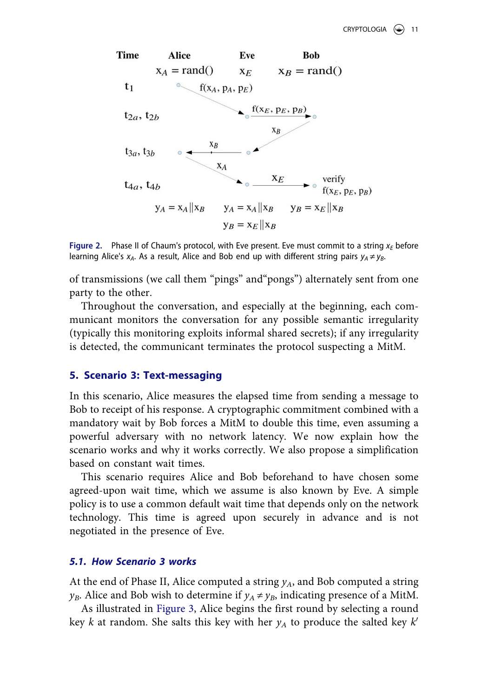<span id="page-10-0"></span>



of transmissions (we call them "pings" and"pongs") alternately sent from one party to the other.

Throughout the conversation, and especially at the beginning, each communicant monitors the conversation for any possible semantic irregularity (typically this monitoring exploits informal shared secrets); if any irregularity is detected, the communicant terminates the protocol suspecting a MitM.

#### **5. Scenario 3: Text-messaging**

In this scenario, Alice measures the elapsed time from sending a message to Bob to receipt of his response. A cryptographic commitment combined with a mandatory wait by Bob forces a MitM to double this time, even assuming a powerful adversary with no network latency. We now explain how the scenario works and why it works correctly. We also propose a simplification based on constant wait times.

This scenario requires Alice and Bob beforehand to have chosen some agreed-upon wait time, which we assume is also known by Eve. A simple policy is to use a common default wait time that depends only on the network technology. This time is agreed upon securely in advance and is not negotiated in the presence of Eve.

### *5.1. How Scenario 3 works*

At the end of Phase II, Alice computed a string  $y_A$ , and Bob computed a string *y*<sub>B</sub>. Alice and Bob wish to determine if  $y_A \neq y_B$ , indicating presence of a MitM.

As illustrated in [Figure 3](#page-11-0), Alice begins the first round by selecting a round key *k* at random. She salts this key with her  $y_A$  to produce the salted key  $k'$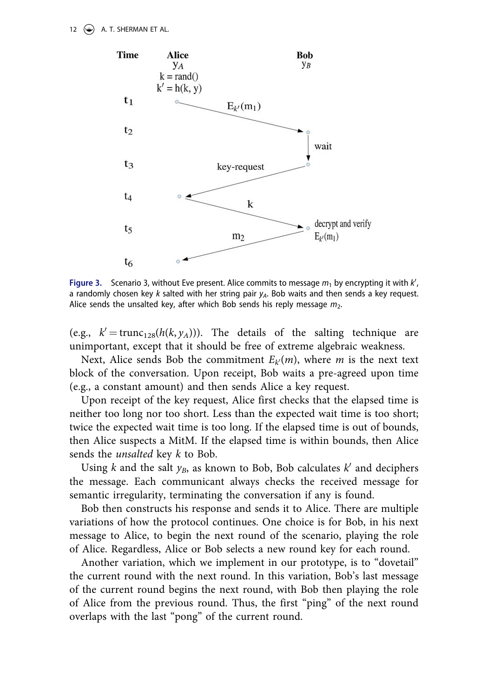<span id="page-11-0"></span>

**Figure 3.** Scenario 3, without Eve present. Alice commits to message  $m_1$  by encrypting it with  $k'$ , a randomly chosen key  $k$  salted with her string pair  $y_A$ . Bob waits and then sends a key request. Alice sends the unsalted key, after which Bob sends his reply message  $m_2$ .

(e.g.,  $k' = \text{trunc}_{128}(h(k, y_A)))$ . The details of the salting technique are unimportant, except that it should be free of extreme algebraic weakness.

Next, Alice sends Bob the commitment  $E_k(m)$ , where *m* is the next text block of the conversation. Upon receipt, Bob waits a pre-agreed upon time (e.g., a constant amount) and then sends Alice a key request.

Upon receipt of the key request, Alice first checks that the elapsed time is neither too long nor too short. Less than the expected wait time is too short; twice the expected wait time is too long. If the elapsed time is out of bounds, then Alice suspects a MitM. If the elapsed time is within bounds, then Alice sends the *unsalted* key *k* to Bob.

Using *k* and the salt  $y_B$ , as known to Bob, Bob calculates  $k'$  and deciphers the message. Each communicant always checks the received message for semantic irregularity, terminating the conversation if any is found.

Bob then constructs his response and sends it to Alice. There are multiple variations of how the protocol continues. One choice is for Bob, in his next message to Alice, to begin the next round of the scenario, playing the role of Alice. Regardless, Alice or Bob selects a new round key for each round.

Another variation, which we implement in our prototype, is to "dovetail" the current round with the next round. In this variation, Bob's last message of the current round begins the next round, with Bob then playing the role of Alice from the previous round. Thus, the first "ping" of the next round overlaps with the last "pong" of the current round.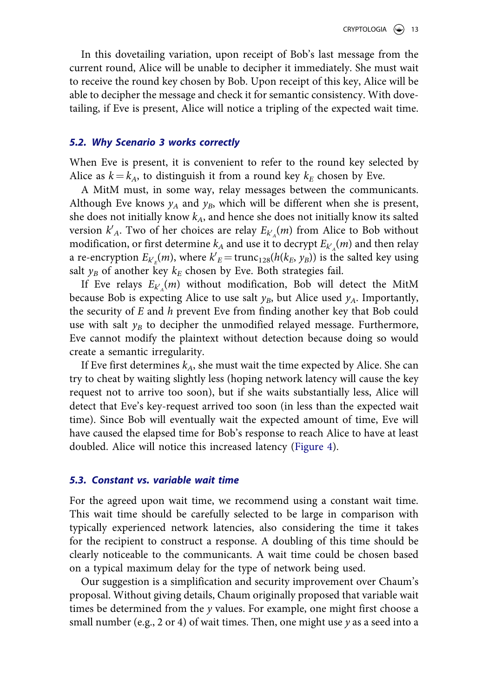In this dovetailing variation, upon receipt of Bob's last message from the current round, Alice will be unable to decipher it immediately. She must wait to receive the round key chosen by Bob. Upon receipt of this key, Alice will be able to decipher the message and check it for semantic consistency. With dovetailing, if Eve is present, Alice will notice a tripling of the expected wait time.

#### *5.2. Why Scenario 3 works correctly*

When Eve is present, it is convenient to refer to the round key selected by Alice as  $k = k_A$ , to distinguish it from a round key  $k_E$  chosen by Eve.

A MitM must, in some way, relay messages between the communicants. Although Eve knows  $y_A$  and  $y_B$ , which will be different when she is present, she does not initially know  $k_A$ , and hence she does not initially know its salted version  $k'_A$ . Two of her choices are relay  $E_{k'_A}(m)$  from Alice to Bob without modification, or first determine  $k_A$  and use it to decrypt  $E_{k'_A}(m)$  and then relay a re-encryption  $E_{k|E}(m)$ , where  $k|E = \text{trunc}_{128}(h(k_E, y_B))$  is the salted key using salt  $y_B$  of another key  $k_E$  chosen by Eve. Both strategies fail.

If Eve relays  $E_{k',a}(m)$  without modification, Bob will detect the MitM because Bob is expecting Alice to use salt  $y_B$ , but Alice used  $y_A$ . Importantly, the security of *E* and *h* prevent Eve from finding another key that Bob could use with salt  $y_B$  to decipher the unmodified relayed message. Furthermore, Eve cannot modify the plaintext without detection because doing so would create a semantic irregularity.

If Eve first determines  $k_A$ , she must wait the time expected by Alice. She can try to cheat by waiting slightly less (hoping network latency will cause the key request not to arrive too soon), but if she waits substantially less, Alice will detect that Eve's key-request arrived too soon (in less than the expected wait time). Since Bob will eventually wait the expected amount of time, Eve will have caused the elapsed time for Bob's response to reach Alice to have at least doubled. Alice will notice this increased latency [\(Figure 4](#page-13-0)).

#### *5.3. Constant vs. variable wait time*

For the agreed upon wait time, we recommend using a constant wait time. This wait time should be carefully selected to be large in comparison with typically experienced network latencies, also considering the time it takes for the recipient to construct a response. A doubling of this time should be clearly noticeable to the communicants. A wait time could be chosen based on a typical maximum delay for the type of network being used.

Our suggestion is a simplification and security improvement over Chaum's proposal. Without giving details, Chaum originally proposed that variable wait times be determined from the *y* values. For example, one might first choose a small number (e.g., 2 or 4) of wait times. Then, one might use *y* as a seed into a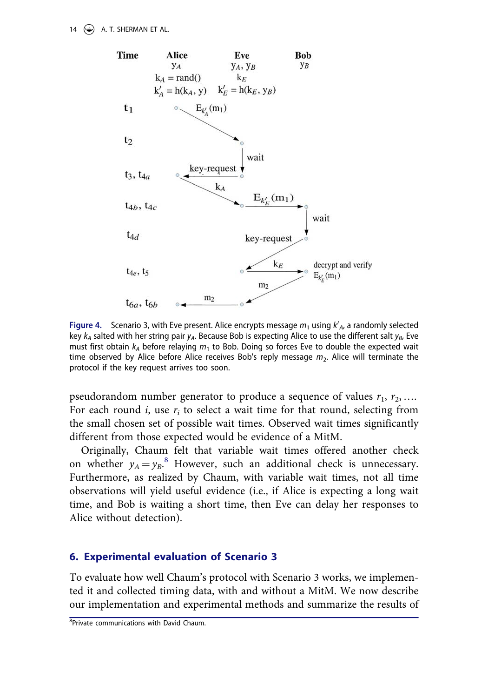<span id="page-13-0"></span>

**Figure 4.** Scenario 3, with Eve present. Alice encrypts message  $m_1$  using  $k'_{A}$ , a randomly selected key *kA* salted with her string pair *yA*. Because Bob is expecting Alice to use the different salt *yB*, Eve must first obtain  $k_A$  before relaying  $m_1$  to Bob. Doing so forces Eve to double the expected wait time observed by Alice before Alice receives Bob's reply message  $m<sub>2</sub>$ . Alice will terminate the protocol if the key request arrives too soon.

pseudorandom number generator to produce a sequence of values  $r_1, r_2, \ldots$ For each round  $i$ , use  $r_i$  to select a wait time for that round, selecting from the small chosen set of possible wait times. Observed wait times significantly different from those expected would be evidence of a MitM.

Originally, Chaum felt that variable wait times offered another check on whether  $y_A = y_B$ .<sup>8</sup> However, such an additional check is unnecessary. Furthermore, as realized by Chaum, with variable wait times, not all time observations will yield useful evidence (i.e., if Alice is expecting a long wait time, and Bob is waiting a short time, then Eve can delay her responses to Alice without detection).

## **6. Experimental evaluation of Scenario 3**

To evaluate how well Chaum's protocol with Scenario 3 works, we implemented it and collected timing data, with and without a MitM. We now describe our implementation and experimental methods and summarize the results of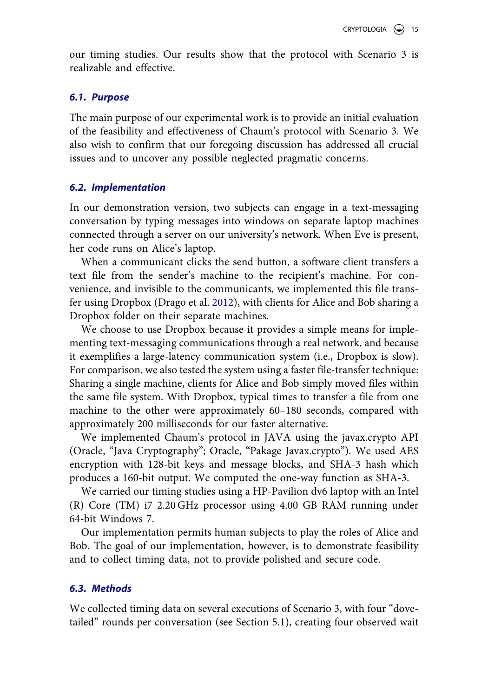our timing studies. Our results show that the protocol with Scenario 3 is realizable and effective.

#### *6.1. Purpose*

The main purpose of our experimental work is to provide an initial evaluation of the feasibility and effectiveness of Chaum's protocol with Scenario 3. We also wish to confirm that our foregoing discussion has addressed all crucial issues and to uncover any possible neglected pragmatic concerns.

#### *6.2. Implementation*

In our demonstration version, two subjects can engage in a text-messaging conversation by typing messages into windows on separate laptop machines connected through a server on our university's network. When Eve is present, her code runs on Alice's laptop.

When a communicant clicks the send button, a software client transfers a text file from the sender's machine to the recipient's machine. For convenience, and invisible to the communicants, we implemented this file transfer using Dropbox (Drago et al. [2012](#page-24-0)), with clients for Alice and Bob sharing a Dropbox folder on their separate machines.

We choose to use Dropbox because it provides a simple means for implementing text-messaging communications through a real network, and because it exemplifies a large-latency communication system (i.e., Dropbox is slow). For comparison, we also tested the system using a faster file-transfer technique: Sharing a single machine, clients for Alice and Bob simply moved files within the same file system. With Dropbox, typical times to transfer a file from one machine to the other were approximately 60–180 seconds, compared with approximately 200 milliseconds for our faster alternative.

We implemented Chaum's protocol in JAVA using the javax.crypto API (Oracle, "Java Cryptography"; Oracle, "Pakage Javax.crypto"). We used AES encryption with 128-bit keys and message blocks, and SHA-3 hash which produces a 160-bit output. We computed the one-way function as SHA-3.

We carried our timing studies using a HP-Pavilion dv6 laptop with an Intel (R) Core (TM) i7 2.20 GHz processor using 4.00 GB RAM running under 64-bit Windows 7.

Our implementation permits human subjects to play the roles of Alice and Bob. The goal of our implementation, however, is to demonstrate feasibility and to collect timing data, not to provide polished and secure code.

#### *6.3. Methods*

We collected timing data on several executions of Scenario 3, with four "dovetailed" rounds per conversation (see Section 5.1), creating four observed wait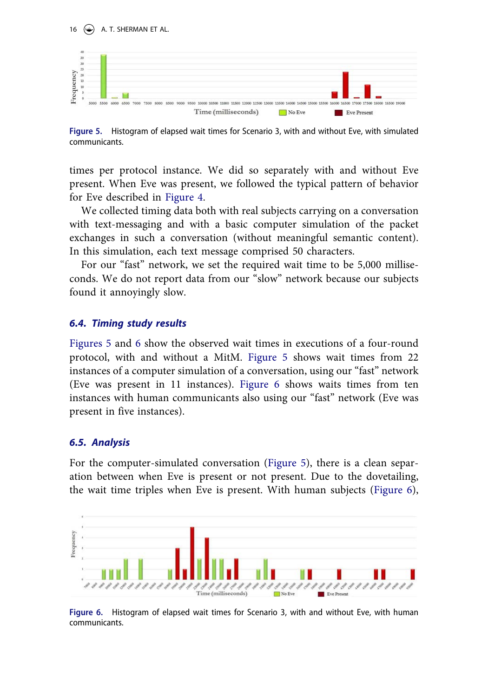

**Figure 5.** Histogram of elapsed wait times for Scenario 3, with and without Eve, with simulated communicants.

times per protocol instance. We did so separately with and without Eve present. When Eve was present, we followed the typical pattern of behavior for Eve described in [Figure 4.](#page-13-0)

We collected timing data both with real subjects carrying on a conversation with text-messaging and with a basic computer simulation of the packet exchanges in such a conversation (without meaningful semantic content). In this simulation, each text message comprised 50 characters.

For our "fast" network, we set the required wait time to be 5,000 milliseconds. We do not report data from our "slow" network because our subjects found it annoyingly slow.

#### *6.4. Timing study results*

16  $\left(\bigstar\right)$  A. T. SHERMAN ET AL.

Figures 5 and 6 show the observed wait times in executions of a four-round protocol, with and without a MitM. Figure 5 shows wait times from 22 instances of a computer simulation of a conversation, using our "fast" network (Eve was present in 11 instances). Figure 6 shows waits times from ten instances with human communicants also using our "fast" network (Eve was present in five instances).

#### *6.5. Analysis*

For the computer-simulated conversation (Figure 5), there is a clean separation between when Eve is present or not present. Due to the dovetailing, the wait time triples when Eve is present. With human subjects (Figure 6),



**Figure 6.** Histogram of elapsed wait times for Scenario 3, with and without Eve, with human communicants.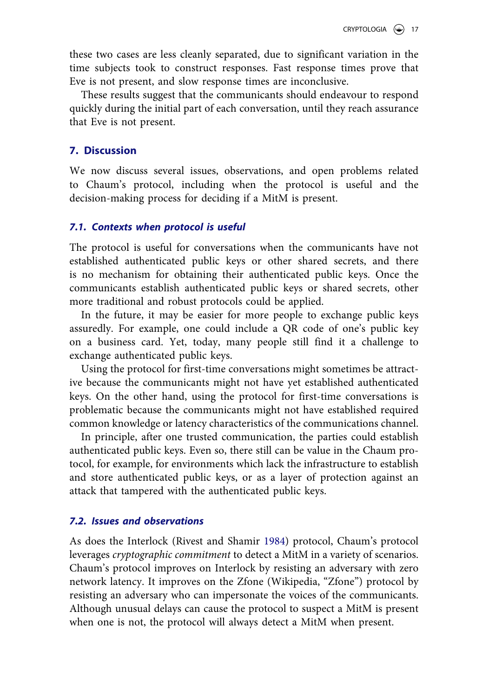these two cases are less cleanly separated, due to significant variation in the time subjects took to construct responses. Fast response times prove that Eve is not present, and slow response times are inconclusive.

These results suggest that the communicants should endeavour to respond quickly during the initial part of each conversation, until they reach assurance that Eve is not present.

## **7. Discussion**

We now discuss several issues, observations, and open problems related to Chaum's protocol, including when the protocol is useful and the decision-making process for deciding if a MitM is present.

## *7.1. Contexts when protocol is useful*

The protocol is useful for conversations when the communicants have not established authenticated public keys or other shared secrets, and there is no mechanism for obtaining their authenticated public keys. Once the communicants establish authenticated public keys or shared secrets, other more traditional and robust protocols could be applied.

In the future, it may be easier for more people to exchange public keys assuredly. For example, one could include a QR code of one's public key on a business card. Yet, today, many people still find it a challenge to exchange authenticated public keys.

Using the protocol for first-time conversations might sometimes be attractive because the communicants might not have yet established authenticated keys. On the other hand, using the protocol for first-time conversations is problematic because the communicants might not have established required common knowledge or latency characteristics of the communications channel.

In principle, after one trusted communication, the parties could establish authenticated public keys. Even so, there still can be value in the Chaum protocol, for example, for environments which lack the infrastructure to establish and store authenticated public keys, or as a layer of protection against an attack that tampered with the authenticated public keys.

## *7.2. Issues and observations*

As does the Interlock (Rivest and Shamir [1984](#page-25-0)) protocol, Chaum's protocol leverages *cryptographic commitment* to detect a MitM in a variety of scenarios. Chaum's protocol improves on Interlock by resisting an adversary with zero network latency. It improves on the Zfone (Wikipedia, "Zfone") protocol by resisting an adversary who can impersonate the voices of the communicants. Although unusual delays can cause the protocol to suspect a MitM is present when one is not, the protocol will always detect a MitM when present.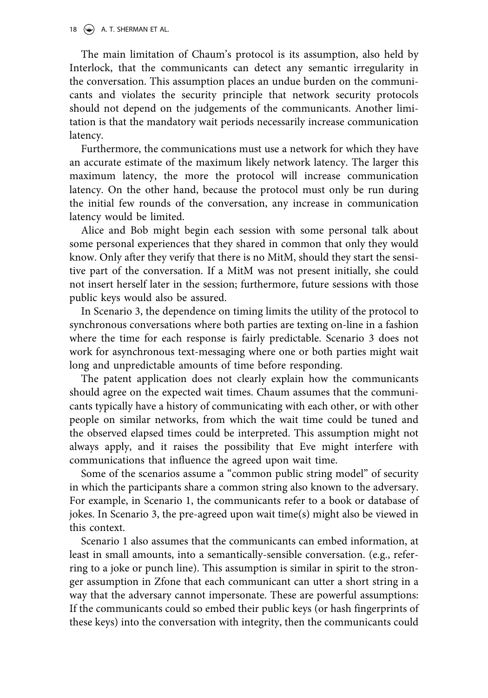18  $\left(\rightarrow\right)$  A. T. SHERMAN ET AL.

The main limitation of Chaum's protocol is its assumption, also held by Interlock, that the communicants can detect any semantic irregularity in the conversation. This assumption places an undue burden on the communicants and violates the security principle that network security protocols should not depend on the judgements of the communicants. Another limitation is that the mandatory wait periods necessarily increase communication latency.

Furthermore, the communications must use a network for which they have an accurate estimate of the maximum likely network latency. The larger this maximum latency, the more the protocol will increase communication latency. On the other hand, because the protocol must only be run during the initial few rounds of the conversation, any increase in communication latency would be limited.

Alice and Bob might begin each session with some personal talk about some personal experiences that they shared in common that only they would know. Only after they verify that there is no MitM, should they start the sensitive part of the conversation. If a MitM was not present initially, she could not insert herself later in the session; furthermore, future sessions with those public keys would also be assured.

In Scenario 3, the dependence on timing limits the utility of the protocol to synchronous conversations where both parties are texting on-line in a fashion where the time for each response is fairly predictable. Scenario 3 does not work for asynchronous text-messaging where one or both parties might wait long and unpredictable amounts of time before responding.

The patent application does not clearly explain how the communicants should agree on the expected wait times. Chaum assumes that the communicants typically have a history of communicating with each other, or with other people on similar networks, from which the wait time could be tuned and the observed elapsed times could be interpreted. This assumption might not always apply, and it raises the possibility that Eve might interfere with communications that influence the agreed upon wait time.

Some of the scenarios assume a "common public string model" of security in which the participants share a common string also known to the adversary. For example, in Scenario 1, the communicants refer to a book or database of jokes. In Scenario 3, the pre-agreed upon wait time(s) might also be viewed in this context.

Scenario 1 also assumes that the communicants can embed information, at least in small amounts, into a semantically-sensible conversation. (e.g., referring to a joke or punch line). This assumption is similar in spirit to the stronger assumption in Zfone that each communicant can utter a short string in a way that the adversary cannot impersonate. These are powerful assumptions: If the communicants could so embed their public keys (or hash fingerprints of these keys) into the conversation with integrity, then the communicants could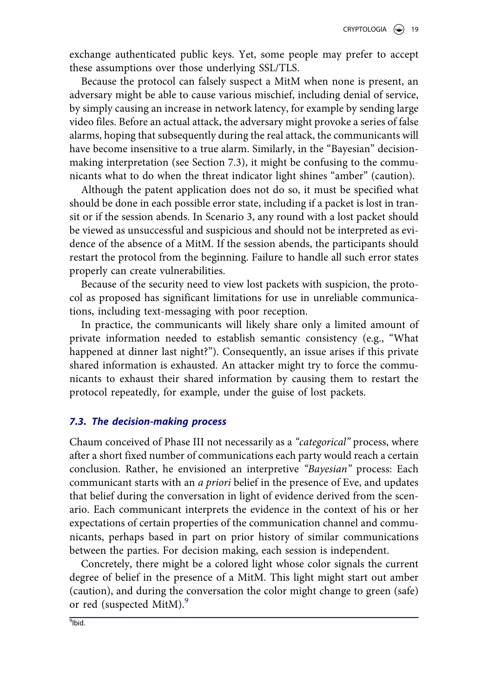exchange authenticated public keys. Yet, some people may prefer to accept these assumptions over those underlying SSL/TLS.

Because the protocol can falsely suspect a MitM when none is present, an adversary might be able to cause various mischief, including denial of service, by simply causing an increase in network latency, for example by sending large video files. Before an actual attack, the adversary might provoke a series of false alarms, hoping that subsequently during the real attack, the communicants will have become insensitive to a true alarm. Similarly, in the "Bayesian" decisionmaking interpretation (see Section 7.3), it might be confusing to the communicants what to do when the threat indicator light shines "amber" (caution).

Although the patent application does not do so, it must be specified what should be done in each possible error state, including if a packet is lost in transit or if the session abends. In Scenario 3, any round with a lost packet should be viewed as unsuccessful and suspicious and should not be interpreted as evidence of the absence of a MitM. If the session abends, the participants should restart the protocol from the beginning. Failure to handle all such error states properly can create vulnerabilities.

Because of the security need to view lost packets with suspicion, the protocol as proposed has significant limitations for use in unreliable communications, including text-messaging with poor reception.

In practice, the communicants will likely share only a limited amount of private information needed to establish semantic consistency (e.g., "What happened at dinner last night?"). Consequently, an issue arises if this private shared information is exhausted. An attacker might try to force the communicants to exhaust their shared information by causing them to restart the protocol repeatedly, for example, under the guise of lost packets.

## *7.3. The decision-making process*

Chaum conceived of Phase III not necessarily as a *"categorical"* process, where after a short fixed number of communications each party would reach a certain conclusion. Rather, he envisioned an interpretive *"Bayesian"* process: Each communicant starts with an *a priori* belief in the presence of Eve, and updates that belief during the conversation in light of evidence derived from the scenario. Each communicant interprets the evidence in the context of his or her expectations of certain properties of the communication channel and communicants, perhaps based in part on prior history of similar communications between the parties. For decision making, each session is independent.

Concretely, there might be a colored light whose color signals the current degree of belief in the presence of a MitM. This light might start out amber (caution), and during the conversation the color might change to green (safe) or red (suspected MitM). $9$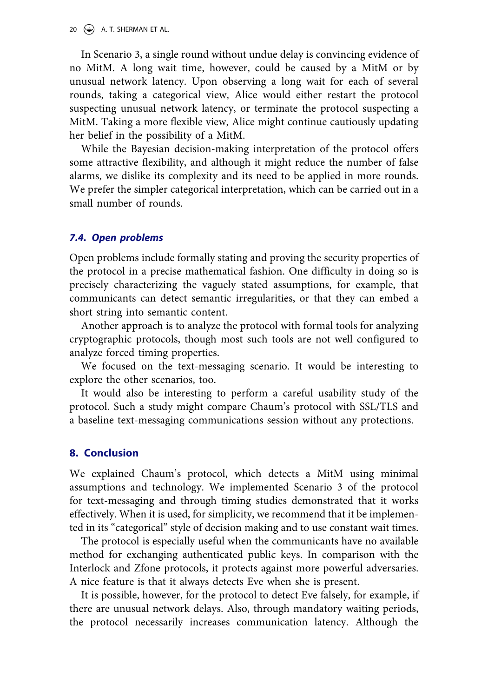20  $\left(\rightarrow\right)$  A. T. SHERMAN ET AL.

In Scenario 3, a single round without undue delay is convincing evidence of no MitM. A long wait time, however, could be caused by a MitM or by unusual network latency. Upon observing a long wait for each of several rounds, taking a categorical view, Alice would either restart the protocol suspecting unusual network latency, or terminate the protocol suspecting a MitM. Taking a more flexible view, Alice might continue cautiously updating her belief in the possibility of a MitM.

While the Bayesian decision-making interpretation of the protocol offers some attractive flexibility, and although it might reduce the number of false alarms, we dislike its complexity and its need to be applied in more rounds. We prefer the simpler categorical interpretation, which can be carried out in a small number of rounds.

#### *7.4. Open problems*

Open problems include formally stating and proving the security properties of the protocol in a precise mathematical fashion. One difficulty in doing so is precisely characterizing the vaguely stated assumptions, for example, that communicants can detect semantic irregularities, or that they can embed a short string into semantic content.

Another approach is to analyze the protocol with formal tools for analyzing cryptographic protocols, though most such tools are not well configured to analyze forced timing properties.

We focused on the text-messaging scenario. It would be interesting to explore the other scenarios, too.

It would also be interesting to perform a careful usability study of the protocol. Such a study might compare Chaum's protocol with SSL/TLS and a baseline text-messaging communications session without any protections.

#### **8. Conclusion**

We explained Chaum's protocol, which detects a MitM using minimal assumptions and technology. We implemented Scenario 3 of the protocol for text-messaging and through timing studies demonstrated that it works effectively. When it is used, for simplicity, we recommend that it be implemented in its "categorical" style of decision making and to use constant wait times.

The protocol is especially useful when the communicants have no available method for exchanging authenticated public keys. In comparison with the Interlock and Zfone protocols, it protects against more powerful adversaries. A nice feature is that it always detects Eve when she is present.

It is possible, however, for the protocol to detect Eve falsely, for example, if there are unusual network delays. Also, through mandatory waiting periods, the protocol necessarily increases communication latency. Although the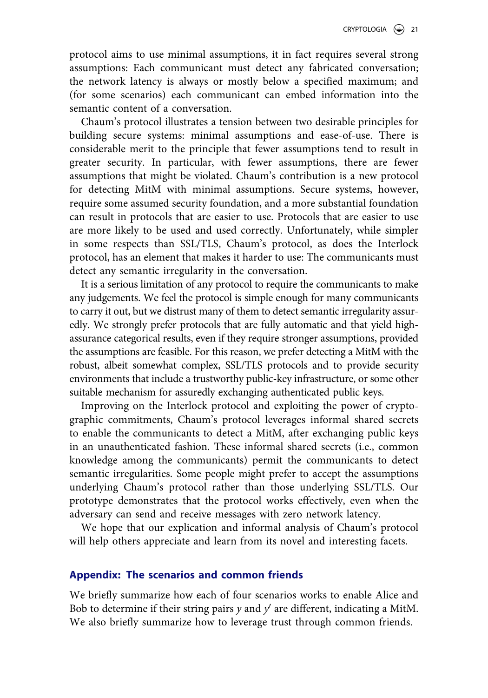protocol aims to use minimal assumptions, it in fact requires several strong assumptions: Each communicant must detect any fabricated conversation; the network latency is always or mostly below a specified maximum; and (for some scenarios) each communicant can embed information into the semantic content of a conversation.

Chaum's protocol illustrates a tension between two desirable principles for building secure systems: minimal assumptions and ease-of-use. There is considerable merit to the principle that fewer assumptions tend to result in greater security. In particular, with fewer assumptions, there are fewer assumptions that might be violated. Chaum's contribution is a new protocol for detecting MitM with minimal assumptions. Secure systems, however, require some assumed security foundation, and a more substantial foundation can result in protocols that are easier to use. Protocols that are easier to use are more likely to be used and used correctly. Unfortunately, while simpler in some respects than SSL/TLS, Chaum's protocol, as does the Interlock protocol, has an element that makes it harder to use: The communicants must detect any semantic irregularity in the conversation.

It is a serious limitation of any protocol to require the communicants to make any judgements. We feel the protocol is simple enough for many communicants to carry it out, but we distrust many of them to detect semantic irregularity assuredly. We strongly prefer protocols that are fully automatic and that yield highassurance categorical results, even if they require stronger assumptions, provided the assumptions are feasible. For this reason, we prefer detecting a MitM with the robust, albeit somewhat complex, SSL/TLS protocols and to provide security environments that include a trustworthy public-key infrastructure, or some other suitable mechanism for assuredly exchanging authenticated public keys.

Improving on the Interlock protocol and exploiting the power of cryptographic commitments, Chaum's protocol leverages informal shared secrets to enable the communicants to detect a MitM, after exchanging public keys in an unauthenticated fashion. These informal shared secrets (i.e., common knowledge among the communicants) permit the communicants to detect semantic irregularities. Some people might prefer to accept the assumptions underlying Chaum's protocol rather than those underlying SSL/TLS. Our prototype demonstrates that the protocol works effectively, even when the adversary can send and receive messages with zero network latency.

We hope that our explication and informal analysis of Chaum's protocol will help others appreciate and learn from its novel and interesting facets.

#### **Appendix: The scenarios and common friends**

We briefly summarize how each of four scenarios works to enable Alice and Bob to determine if their string pairs  $y$  and  $y'$  are different, indicating a MitM. We also briefly summarize how to leverage trust through common friends.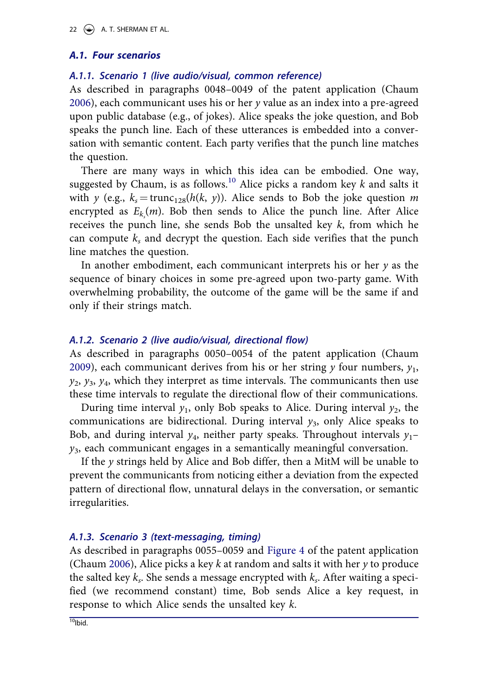#### *A.1. Four scenarios*

#### *A.1.1. Scenario 1 (live audio/visual, common reference)*

As described in paragraphs 0048–0049 of the patent application (Chaum [2006\)](#page-24-0), each communicant uses his or her *y* value as an index into a pre-agreed upon public database (e.g., of jokes). Alice speaks the joke question, and Bob speaks the punch line. Each of these utterances is embedded into a conversation with semantic content. Each party verifies that the punch line matches the question.

There are many ways in which this idea can be embodied. One way, suggested by Chaum, is as follows.<sup>10</sup> Alice picks a random key  $k$  and salts it with *y* (e.g.,  $k_s = \text{trunc}_{128}(h(k, y))$ ). Alice sends to Bob the joke question *m* encrypted as  $E_{k_s}(m)$ . Bob then sends to Alice the punch line. After Alice receives the punch line, she sends Bob the unsalted key *k*, from which he can compute  $k_s$  and decrypt the question. Each side verifies that the punch line matches the question.

In another embodiment, each communicant interprets his or her *y* as the sequence of binary choices in some pre-agreed upon two-party game. With overwhelming probability, the outcome of the game will be the same if and only if their strings match.

#### *A.1.2. Scenario 2 (live audio/visual, directional flow)*

As described in paragraphs 0050–0054 of the patent application (Chaum [2009\)](#page-24-0), each communicant derives from his or her string  $\gamma$  four numbers,  $\gamma_1$ ,  $y_2$ ,  $y_3$ ,  $y_4$ , which they interpret as time intervals. The communicants then use these time intervals to regulate the directional flow of their communications.

During time interval  $y_1$ , only Bob speaks to Alice. During interval  $y_2$ , the communications are bidirectional. During interval  $y_3$ , only Alice speaks to Bob, and during interval  $y_4$ , neither party speaks. Throughout intervals  $y_1$ – *y*3, each communicant engages in a semantically meaningful conversation.

If the *y* strings held by Alice and Bob differ, then a MitM will be unable to prevent the communicants from noticing either a deviation from the expected pattern of directional flow, unnatural delays in the conversation, or semantic irregularities.

#### *A.1.3. Scenario 3 (text-messaging, timing)*

As described in paragraphs 0055–0059 and [Figure 4](#page-13-0) of the patent application (Chaum [2006\)](#page-24-0), Alice picks a key *k* at random and salts it with her *y* to produce the salted key  $k_s$ . She sends a message encrypted with  $k_s$ . After waiting a specified (we recommend constant) time, Bob sends Alice a key request, in response to which Alice sends the unsalted key *k*.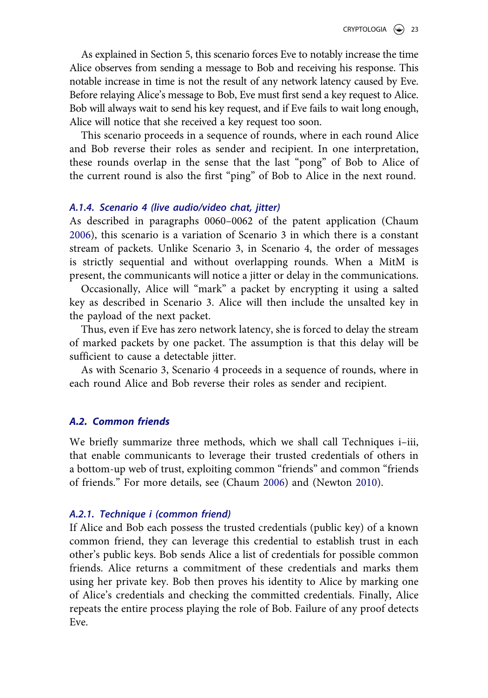As explained in Section 5, this scenario forces Eve to notably increase the time Alice observes from sending a message to Bob and receiving his response. This notable increase in time is not the result of any network latency caused by Eve. Before relaying Alice's message to Bob, Eve must first send a key request to Alice. Bob will always wait to send his key request, and if Eve fails to wait long enough, Alice will notice that she received a key request too soon.

This scenario proceeds in a sequence of rounds, where in each round Alice and Bob reverse their roles as sender and recipient. In one interpretation, these rounds overlap in the sense that the last "pong" of Bob to Alice of the current round is also the first "ping" of Bob to Alice in the next round.

#### *A.1.4. Scenario 4 (live audio/video chat, jitter)*

As described in paragraphs 0060–0062 of the patent application (Chaum [2006\)](#page-24-0), this scenario is a variation of Scenario 3 in which there is a constant stream of packets. Unlike Scenario 3, in Scenario 4, the order of messages is strictly sequential and without overlapping rounds. When a MitM is present, the communicants will notice a jitter or delay in the communications.

Occasionally, Alice will "mark" a packet by encrypting it using a salted key as described in Scenario 3. Alice will then include the unsalted key in the payload of the next packet.

Thus, even if Eve has zero network latency, she is forced to delay the stream of marked packets by one packet. The assumption is that this delay will be sufficient to cause a detectable jitter.

As with Scenario 3, Scenario 4 proceeds in a sequence of rounds, where in each round Alice and Bob reverse their roles as sender and recipient.

#### *A.2. Common friends*

We briefly summarize three methods, which we shall call Techniques i–iii, that enable communicants to leverage their trusted credentials of others in a bottom-up web of trust, exploiting common "friends" and common "friends of friends." For more details, see (Chaum [2006\)](#page-24-0) and (Newton [2010](#page-25-0)).

#### *A.2.1. Technique i (common friend)*

If Alice and Bob each possess the trusted credentials (public key) of a known common friend, they can leverage this credential to establish trust in each other's public keys. Bob sends Alice a list of credentials for possible common friends. Alice returns a commitment of these credentials and marks them using her private key. Bob then proves his identity to Alice by marking one of Alice's credentials and checking the committed credentials. Finally, Alice repeats the entire process playing the role of Bob. Failure of any proof detects Eve.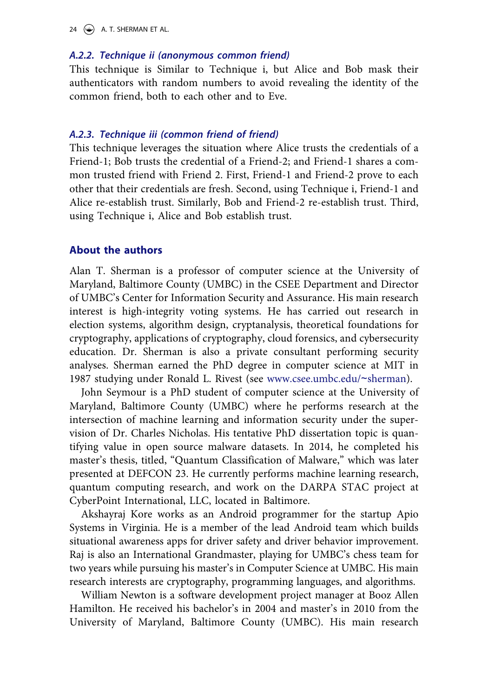#### 24  $\left(\rightarrow\right)$  A. T. SHERMAN ET AL.

#### *A.2.2. Technique ii (anonymous common friend)*

This technique is Similar to Technique i, but Alice and Bob mask their authenticators with random numbers to avoid revealing the identity of the common friend, both to each other and to Eve.

#### *A.2.3. Technique iii (common friend of friend)*

This technique leverages the situation where Alice trusts the credentials of a Friend-1; Bob trusts the credential of a Friend-2; and Friend-1 shares a common trusted friend with Friend 2. First, Friend-1 and Friend-2 prove to each other that their credentials are fresh. Second, using Technique i, Friend-1 and Alice re-establish trust. Similarly, Bob and Friend-2 re-establish trust. Third, using Technique i, Alice and Bob establish trust.

#### **About the authors**

Alan T. Sherman is a professor of computer science at the University of Maryland, Baltimore County (UMBC) in the CSEE Department and Director of UMBC's Center for Information Security and Assurance. His main research interest is high-integrity voting systems. He has carried out research in election systems, algorithm design, cryptanalysis, theoretical foundations for cryptography, applications of cryptography, cloud forensics, and cybersecurity education. Dr. Sherman is also a private consultant performing security analyses. Sherman earned the PhD degree in computer science at MIT in 1987 studying under Ronald L. Rivest (see [www.csee.umbc.edu/](http://www.csee.umbc.edu/∼sherman)∼sherman).

John Seymour is a PhD student of computer science at the University of Maryland, Baltimore County (UMBC) where he performs research at the intersection of machine learning and information security under the supervision of Dr. Charles Nicholas. His tentative PhD dissertation topic is quantifying value in open source malware datasets. In 2014, he completed his master's thesis, titled, "Quantum Classification of Malware," which was later presented at DEFCON 23. He currently performs machine learning research, quantum computing research, and work on the DARPA STAC project at CyberPoint International, LLC, located in Baltimore.

Akshayraj Kore works as an Android programmer for the startup Apio Systems in Virginia. He is a member of the lead Android team which builds situational awareness apps for driver safety and driver behavior improvement. Raj is also an International Grandmaster, playing for UMBC's chess team for two years while pursuing his master's in Computer Science at UMBC. His main research interests are cryptography, programming languages, and algorithms.

William Newton is a software development project manager at Booz Allen Hamilton. He received his bachelor's in 2004 and master's in 2010 from the University of Maryland, Baltimore County (UMBC). His main research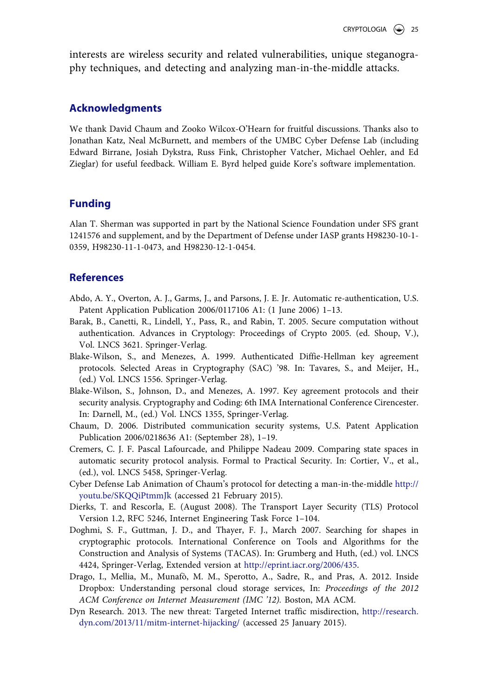<span id="page-24-0"></span>interests are wireless security and related vulnerabilities, unique steganography techniques, and detecting and analyzing man-in-the-middle attacks.

#### **Acknowledgments**

We thank David Chaum and Zooko Wilcox-O'Hearn for fruitful discussions. Thanks also to Jonathan Katz, Neal McBurnett, and members of the UMBC Cyber Defense Lab (including Edward Birrane, Josiah Dykstra, Russ Fink, Christopher Vatcher, Michael Oehler, and Ed Zieglar) for useful feedback. William E. Byrd helped guide Kore's software implementation.

### **Funding**

Alan T. Sherman was supported in part by the National Science Foundation under SFS grant 1241576 and supplement, and by the Department of Defense under IASP grants H98230-10-1- 0359, H98230-11-1-0473, and H98230-12-1-0454.

### **References**

- Abdo, A. Y., Overton, A. J., Garms, J., and Parsons, J. E. Jr. Automatic re-authentication, U.S. Patent Application Publication 2006/0117106 A1: (1 June 2006) 1–13.
- Barak, B., Canetti, R., Lindell, Y., Pass, R., and Rabin, T. 2005. Secure computation without authentication. Advances in Cryptology: Proceedings of Crypto 2005. (ed. Shoup, V.), Vol. LNCS 3621. Springer-Verlag.
- Blake-Wilson, S., and Menezes, A. 1999. Authenticated Diffie-Hellman key agreement protocols. Selected Areas in Cryptography (SAC) '98. In: Tavares, S., and Meijer, H., (ed.) Vol. LNCS 1556. Springer-Verlag.
- Blake-Wilson, S., Johnson, D., and Menezes, A. 1997. Key agreement protocols and their security analysis. Cryptography and Coding: 6th IMA International Conference Cirencester. In: Darnell, M., (ed.) Vol. LNCS 1355, Springer-Verlag.
- Chaum, D. 2006. Distributed communication security systems, U.S. Patent Application Publication 2006/0218636 A1: (September 28), 1–19.
- Cremers, C. J. F. Pascal Lafourcade, and Philippe Nadeau 2009. Comparing state spaces in automatic security protocol analysis. Formal to Practical Security. In: Cortier, V., et al., (ed.), vol. LNCS 5458, Springer-Verlag.
- Cyber Defense Lab Animation of Chaum's protocol for detecting a man-in-the-middle [http://](http://youtu.be/SKQQiPtmmJk) [youtu.be/SKQQiPtmmJk](http://youtu.be/SKQQiPtmmJk) (accessed 21 February 2015).
- Dierks, T. and Rescorla, E. (August 2008). The Transport Layer Security (TLS) Protocol Version 1.2, RFC 5246, Internet Engineering Task Force 1–104.
- Doghmi, S. F., Guttman, J. D., and Thayer, F. J., March 2007. Searching for shapes in cryptographic protocols. International Conference on Tools and Algorithms for the Construction and Analysis of Systems (TACAS). In: Grumberg and Huth, (ed.) vol. LNCS 4424, Springer-Verlag, Extended version at [http://eprint.iacr.org/2006/435.](http://eprint.iacr.org/2006/435)
- Drago, I., Mellia, M., Munafò, M. M., Sperotto, A., Sadre, R., and Pras, A. 2012. Inside Dropbox: Understanding personal cloud storage services, In: *Proceedings of the 2012 ACM Conference on Internet Measurement (IMC '12).* Boston, MA ACM.
- Dyn Research. 2013. The new threat: Targeted Internet traffic misdirection, [http://research.](http://research.dyn.com/2013/11/mitm-internet-hijacking/) [dyn.com/2013/11/mitm-internet-hijacking/](http://research.dyn.com/2013/11/mitm-internet-hijacking/) (accessed 25 January 2015).